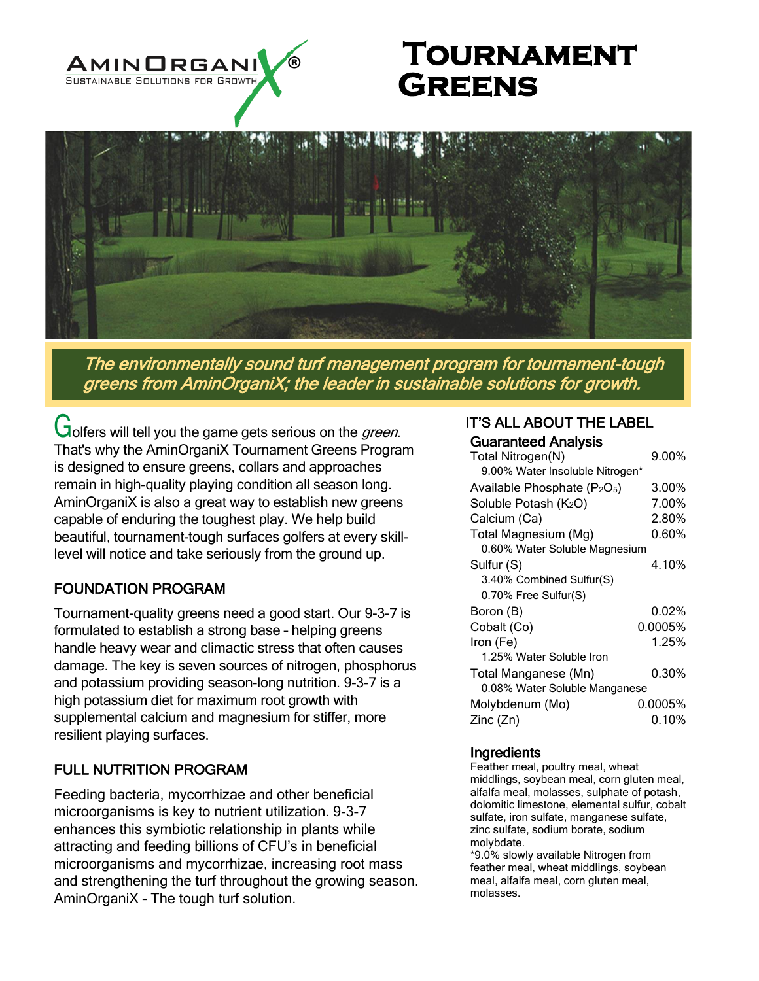

# **Tournament Greens**



The environmentally sound turf management program for tournament-tough greens from AminOrganiX; the leader in sustainable solutions for growth.

Golfers will tell you the game gets serious on the green. That's why the AminOrganiX Tournament Greens Program is designed to ensure greens, collars and approaches remain in high-quality playing condition all season long. AminOrganiX is also a great way to establish new greens capable of enduring the toughest play. We help build beautiful, tournament-tough surfaces golfers at every skilllevel will notice and take seriously from the ground up.

## FOUNDATION PROGRAM

Tournament-quality greens need a good start. Our 9-3-7 is formulated to establish a strong base – helping greens handle heavy wear and climactic stress that often causes damage. The key is seven sources of nitrogen, phosphorus and potassium providing season-long nutrition. 9-3-7 is a high potassium diet for maximum root growth with supplemental calcium and magnesium for stiffer, more resilient playing surfaces.

### FULL NUTRITION PROGRAM

Feeding bacteria, mycorrhizae and other beneficial microorganisms is key to nutrient utilization. 9-3-7 enhances this symbiotic relationship in plants while attracting and feeding billions of CFU's in beneficial microorganisms and mycorrhizae, increasing root mass and strengthening the turf throughout the growing season. AminOrganiX – The tough turf solution.

#### IT'S ALL ABOUT THE LABEL Guaranteed Analysis

| Total Nitrogen(N)                                    | $9.00\%$ |
|------------------------------------------------------|----------|
| 9.00% Water Insoluble Nitrogen*                      |          |
| Available Phosphate (P <sub>2</sub> O <sub>5</sub> ) | 3.00%    |
| Soluble Potash (K2O)                                 | 7.00%    |
| Calcium (Ca)                                         | 2.80%    |
| Total Magnesium (Mg)                                 | $0.60\%$ |
| 0.60% Water Soluble Magnesium                        |          |
| Sulfur (S)                                           | 4.10%    |
| 3.40% Combined Sulfur(S)                             |          |
| 0.70% Free Sulfur(S)                                 |          |
| Boron (B)                                            | 0.02%    |
| Cobalt (Co)                                          | 0.0005%  |
| Iron (Fe)                                            | 1.25%    |
| 1.25% Water Soluble Iron                             |          |
| Total Manganese (Mn)                                 | $0.30\%$ |
| 0.08% Water Soluble Manganese                        |          |
| Molybdenum (Mo)                                      | 0.0005%  |
| Zinc (Zn)                                            | 0.10%    |

#### **Ingredients**

Feather meal, poultry meal, wheat middlings, soybean meal, corn gluten meal, alfalfa meal, molasses, sulphate of potash, dolomitic limestone, elemental sulfur, cobalt sulfate, iron sulfate, manganese sulfate, zinc sulfate, sodium borate, sodium molybdate.

\*9.0% slowly available Nitrogen from feather meal, wheat middlings, soybean meal, alfalfa meal, corn gluten meal, molasses.